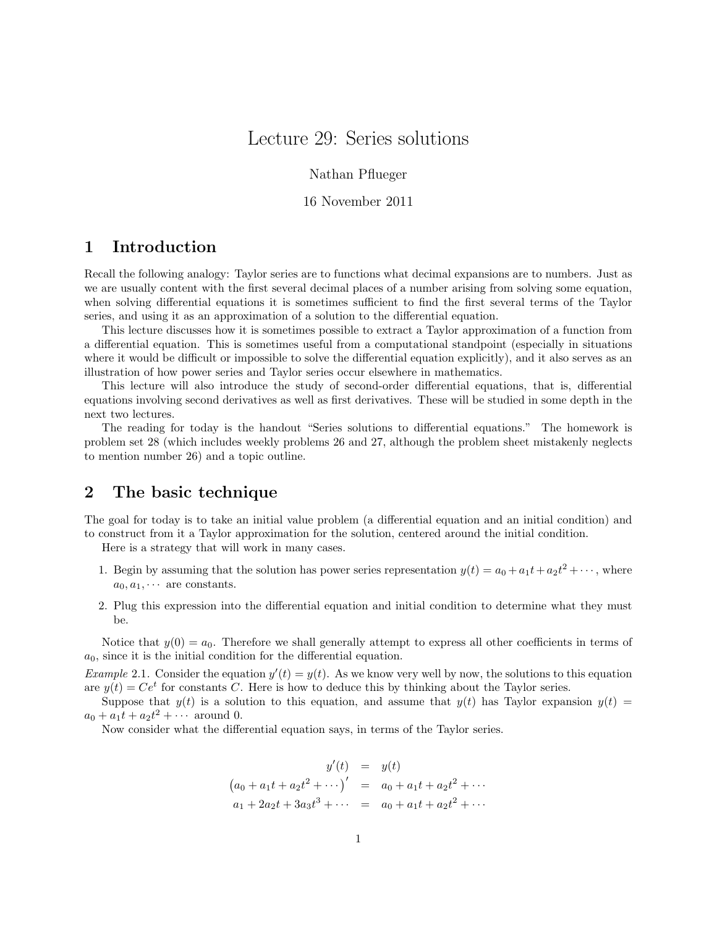# Lecture 29: Series solutions

Nathan Pflueger

#### 16 November 2011

#### 1 Introduction

Recall the following analogy: Taylor series are to functions what decimal expansions are to numbers. Just as we are usually content with the first several decimal places of a number arising from solving some equation, when solving differential equations it is sometimes sufficient to find the first several terms of the Taylor series, and using it as an approximation of a solution to the differential equation.

This lecture discusses how it is sometimes possible to extract a Taylor approximation of a function from a differential equation. This is sometimes useful from a computational standpoint (especially in situations where it would be difficult or impossible to solve the differential equation explicitly), and it also serves as an illustration of how power series and Taylor series occur elsewhere in mathematics.

This lecture will also introduce the study of second-order differential equations, that is, differential equations involving second derivatives as well as first derivatives. These will be studied in some depth in the next two lectures.

The reading for today is the handout "Series solutions to differential equations." The homework is problem set 28 (which includes weekly problems 26 and 27, although the problem sheet mistakenly neglects to mention number 26) and a topic outline.

#### 2 The basic technique

The goal for today is to take an initial value problem (a differential equation and an initial condition) and to construct from it a Taylor approximation for the solution, centered around the initial condition.

Here is a strategy that will work in many cases.

- 1. Begin by assuming that the solution has power series representation  $y(t) = a_0 + a_1t + a_2t^2 + \cdots$ , where  $a_0, a_1, \cdots$  are constants.
- 2. Plug this expression into the differential equation and initial condition to determine what they must be.

Notice that  $y(0) = a_0$ . Therefore we shall generally attempt to express all other coefficients in terms of  $a_0$ , since it is the initial condition for the differential equation.

*Example* 2.1. Consider the equation  $y'(t) = y(t)$ . As we know very well by now, the solutions to this equation are  $y(t) = Ce^{t}$  for constants C. Here is how to deduce this by thinking about the Taylor series.

Suppose that  $y(t)$  is a solution to this equation, and assume that  $y(t)$  has Taylor expansion  $y(t)$  $a_0 + a_1t + a_2t^2 + \cdots$  around 0.

Now consider what the differential equation says, in terms of the Taylor series.

$$
y'(t) = y(t)
$$
  
\n
$$
(a_0 + a_1t + a_2t^2 + \cdots)' = a_0 + a_1t + a_2t^2 + \cdots
$$
  
\n
$$
a_1 + 2a_2t + 3a_3t^3 + \cdots = a_0 + a_1t + a_2t^2 + \cdots
$$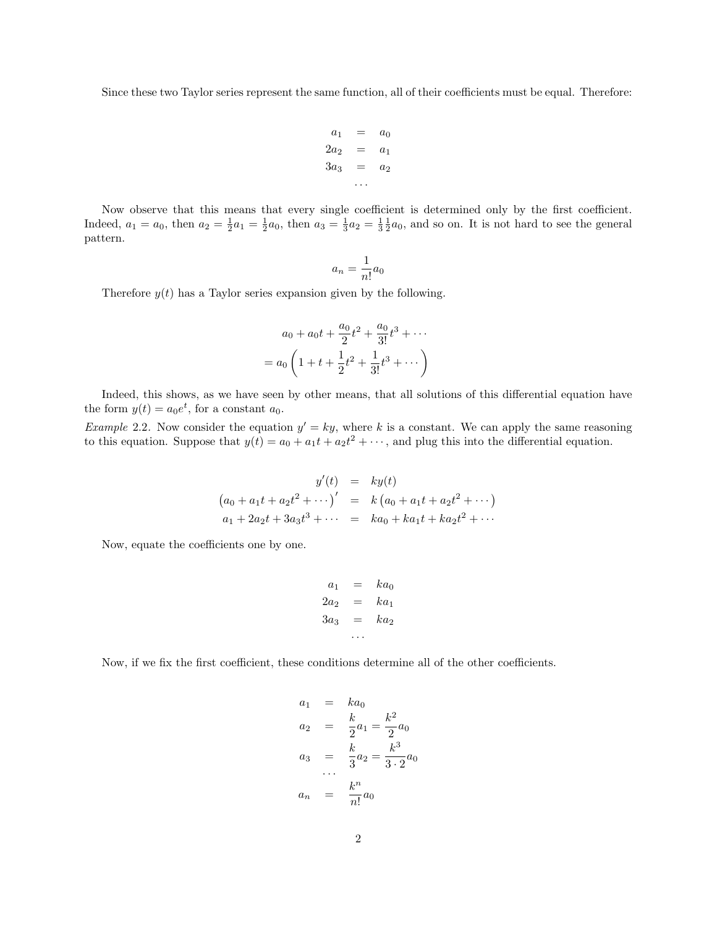Since these two Taylor series represent the same function, all of their coefficients must be equal. Therefore:

$$
a_1 = a_0
$$
  
\n
$$
2a_2 = a_1
$$
  
\n
$$
3a_3 = a_2
$$
  
\n...

Now observe that this means that every single coefficient is determined only by the first coefficient. Indeed,  $a_1 = a_0$ , then  $a_2 = \frac{1}{2}a_1 = \frac{1}{2}a_0$ , then  $a_3 = \frac{1}{3}a_2 = \frac{1}{3}\frac{1}{2}a_0$ , and so on. It is not hard to see the general pattern.

$$
a_n = \frac{1}{n!}a_0
$$

Therefore  $y(t)$  has a Taylor series expansion given by the following.

$$
a_0 + a_0t + \frac{a_0}{2}t^2 + \frac{a_0}{3!}t^3 + \cdots
$$
  
=  $a_0 \left(1 + t + \frac{1}{2}t^2 + \frac{1}{3!}t^3 + \cdots \right)$ 

Indeed, this shows, as we have seen by other means, that all solutions of this differential equation have the form  $y(t) = a_0 e^t$ , for a constant  $a_0$ .

*Example* 2.2. Now consider the equation  $y' = ky$ , where k is a constant. We can apply the same reasoning to this equation. Suppose that  $y(t) = a_0 + a_1t + a_2t^2 + \cdots$ , and plug this into the differential equation.

$$
y'(t) = ky(t)
$$
  
\n
$$
(a_0 + a_1t + a_2t^2 + \cdots)' = k(a_0 + a_1t + a_2t^2 + \cdots)
$$
  
\n
$$
a_1 + 2a_2t + 3a_3t^3 + \cdots = ka_0 + ka_1t + ka_2t^2 + \cdots
$$

Now, equate the coefficients one by one.

$$
\begin{array}{rcl}\na_1 & = & ka_0 \\
2a_2 & = & ka_1 \\
3a_3 & = & ka_2 \\
\vdots & \vdots & \ddots\n\end{array}
$$

Now, if we fix the first coefficient, these conditions determine all of the other coefficients.

$$
a_1 = ka_0
$$
  
\n
$$
a_2 = \frac{k}{2}a_1 = \frac{k^2}{2}a_0
$$
  
\n
$$
a_3 = \frac{k}{3}a_2 = \frac{k^3}{3 \cdot 2}a_0
$$
  
\n...  
\n
$$
a_n = \frac{k^n}{n!}a_0
$$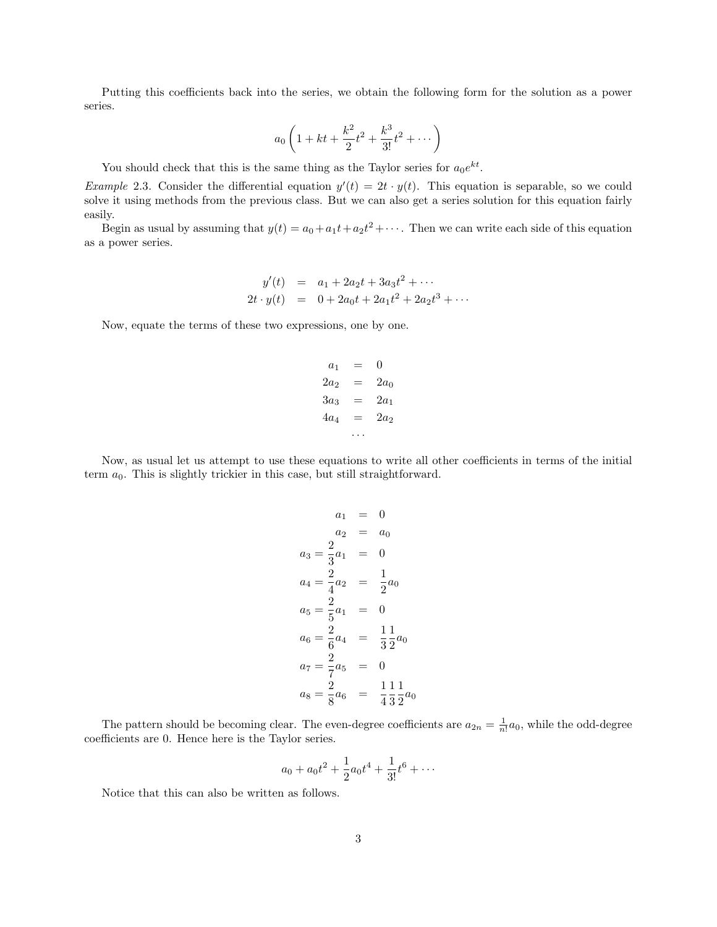Putting this coefficients back into the series, we obtain the following form for the solution as a power series.

$$
a_0 \left( 1 + kt + \frac{k^2}{2}t^2 + \frac{k^3}{3!}t^2 + \cdots \right)
$$

You should check that this is the same thing as the Taylor series for  $a_0e^{kt}$ .

*Example* 2.3. Consider the differential equation  $y'(t) = 2t \cdot y(t)$ . This equation is separable, so we could solve it using methods from the previous class. But we can also get a series solution for this equation fairly easily.

Begin as usual by assuming that  $y(t) = a_0 + a_1t + a_2t^2 + \cdots$ . Then we can write each side of this equation as a power series.

$$
y'(t) = a_1 + 2a_2t + 3a_3t^2 + \cdots
$$
  
2t \t y(t) = 0 + 2a\_0t + 2a\_1t^2 + 2a\_2t^3 + \cdots

Now, equate the terms of these two expressions, one by one.

$$
a_1 = 0\n2a_2 = 2a_0\n3a_3 = 2a_1\n4a_4 = 2a_2\n...
$$

Now, as usual let us attempt to use these equations to write all other coefficients in terms of the initial term  $a_0$ . This is slightly trickier in this case, but still straightforward.

$$
a_1 = 0
$$
  
\n
$$
a_2 = a_0
$$
  
\n
$$
a_3 = \frac{2}{3}a_1 = 0
$$
  
\n
$$
a_4 = \frac{2}{4}a_2 = \frac{1}{2}a_0
$$
  
\n
$$
a_5 = \frac{2}{5}a_1 = 0
$$
  
\n
$$
a_6 = \frac{2}{6}a_4 = \frac{1}{3}\frac{1}{2}a_0
$$
  
\n
$$
a_7 = \frac{2}{7}a_5 = 0
$$
  
\n
$$
a_8 = \frac{2}{8}a_6 = \frac{1}{4}\frac{1}{3}\frac{1}{2}a_0
$$

The pattern should be becoming clear. The even-degree coefficients are  $a_{2n} = \frac{1}{n!}a_0$ , while the odd-degree coefficients are 0. Hence here is the Taylor series.

$$
a_0 + a_0t^2 + \frac{1}{2}a_0t^4 + \frac{1}{3!}t^6 + \cdots
$$

Notice that this can also be written as follows.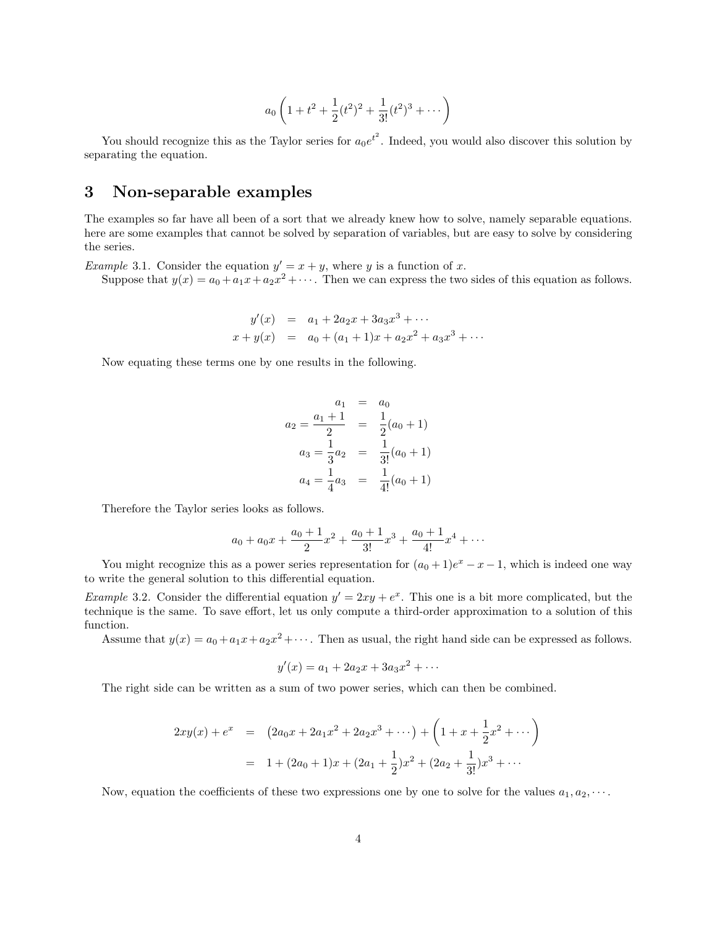$$
a_0\left(1+t^2+\frac{1}{2}(t^2)^2+\frac{1}{3!}(t^2)^3+\cdots\right)
$$

You should recognize this as the Taylor series for  $a_0e^{t^2}$ . Indeed, you would also discover this solution by separating the equation.

### 3 Non-separable examples

The examples so far have all been of a sort that we already knew how to solve, namely separable equations. here are some examples that cannot be solved by separation of variables, but are easy to solve by considering the series.

*Example* 3.1. Consider the equation  $y' = x + y$ , where y is a function of x.

Suppose that  $y(x) = a_0 + a_1x + a_2x^2 + \cdots$ . Then we can express the two sides of this equation as follows.

$$
y'(x) = a_1 + 2a_2x + 3a_3x^3 + \cdots
$$
  

$$
x + y(x) = a_0 + (a_1 + 1)x + a_2x^2 + a_3x^3 + \cdots
$$

Now equating these terms one by one results in the following.

$$
a_1 = a_0
$$
  
\n
$$
a_2 = \frac{a_1 + 1}{2} = \frac{1}{2}(a_0 + 1)
$$
  
\n
$$
a_3 = \frac{1}{3}a_2 = \frac{1}{3!}(a_0 + 1)
$$
  
\n
$$
a_4 = \frac{1}{4}a_3 = \frac{1}{4!}(a_0 + 1)
$$

Therefore the Taylor series looks as follows.

$$
a_0 + a_0x + \frac{a_0 + 1}{2}x^2 + \frac{a_0 + 1}{3!}x^3 + \frac{a_0 + 1}{4!}x^4 + \cdots
$$

You might recognize this as a power series representation for  $(a_0 + 1)e^x - x - 1$ , which is indeed one way to write the general solution to this differential equation.

*Example* 3.2. Consider the differential equation  $y' = 2xy + e^x$ . This one is a bit more complicated, but the technique is the same. To save effort, let us only compute a third-order approximation to a solution of this function.

Assume that  $y(x) = a_0 + a_1x + a_2x^2 + \cdots$ . Then as usual, the right hand side can be expressed as follows.

$$
y'(x) = a_1 + 2a_2x + 3a_3x^2 + \cdots
$$

The right side can be written as a sum of two power series, which can then be combined.

$$
2xy(x) + e^x = (2a_0x + 2a_1x^2 + 2a_2x^3 + \cdots) + (1 + x + \frac{1}{2}x^2 + \cdots)
$$
  
= 1 + (2a\_0 + 1)x + (2a\_1 + \frac{1}{2})x^2 + (2a\_2 + \frac{1}{3!})x^3 + \cdots

Now, equation the coefficients of these two expressions one by one to solve for the values  $a_1, a_2, \cdots$ .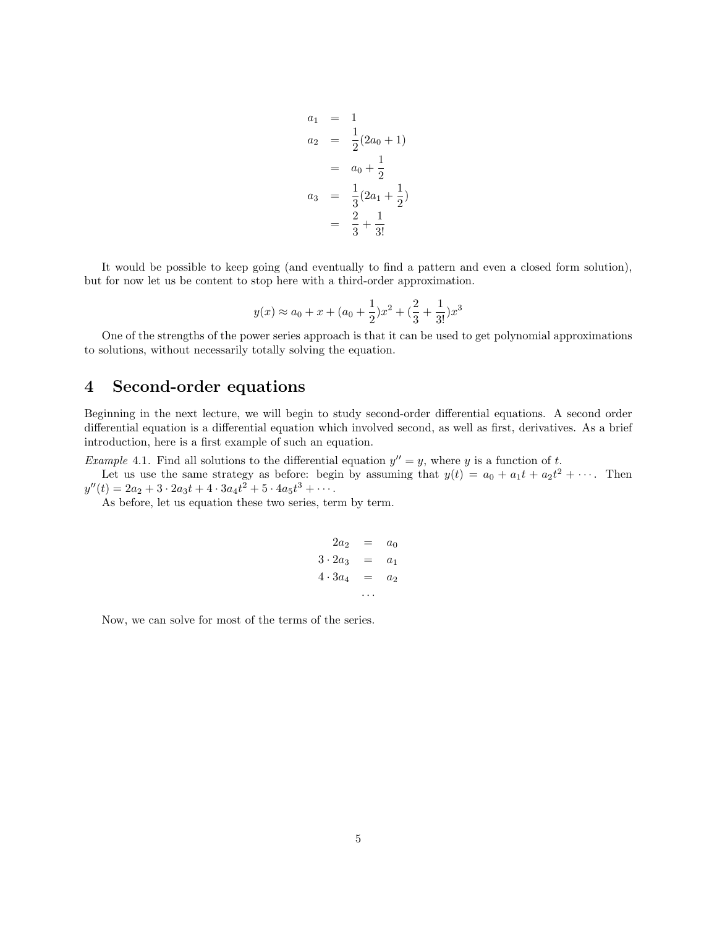$$
a_1 = 1
$$
  
\n
$$
a_2 = \frac{1}{2}(2a_0 + 1)
$$
  
\n
$$
= a_0 + \frac{1}{2}
$$
  
\n
$$
a_3 = \frac{1}{3}(2a_1 + \frac{1}{2})
$$
  
\n
$$
= \frac{2}{3} + \frac{1}{3!}
$$

It would be possible to keep going (and eventually to find a pattern and even a closed form solution), but for now let us be content to stop here with a third-order approximation.

$$
y(x) \approx a_0 + x + (a_0 + \frac{1}{2})x^2 + (\frac{2}{3} + \frac{1}{3!})x^3
$$

One of the strengths of the power series approach is that it can be used to get polynomial approximations to solutions, without necessarily totally solving the equation.

## 4 Second-order equations

Beginning in the next lecture, we will begin to study second-order differential equations. A second order differential equation is a differential equation which involved second, as well as first, derivatives. As a brief introduction, here is a first example of such an equation.

*Example* 4.1. Find all solutions to the differential equation  $y'' = y$ , where y is a function of t.

Let us use the same strategy as before: begin by assuming that  $y(t) = a_0 + a_1t + a_2t^2 + \cdots$ . Then  $y''(t) = 2a_2 + 3 \cdot 2a_3t + 4 \cdot 3a_4t^2 + 5 \cdot 4a_5t^3 + \cdots$ 

As before, let us equation these two series, term by term.

$$
2a_2 = a_0
$$
  
\n
$$
3 \cdot 2a_3 = a_1
$$
  
\n
$$
4 \cdot 3a_4 = a_2
$$
  
\n...

Now, we can solve for most of the terms of the series.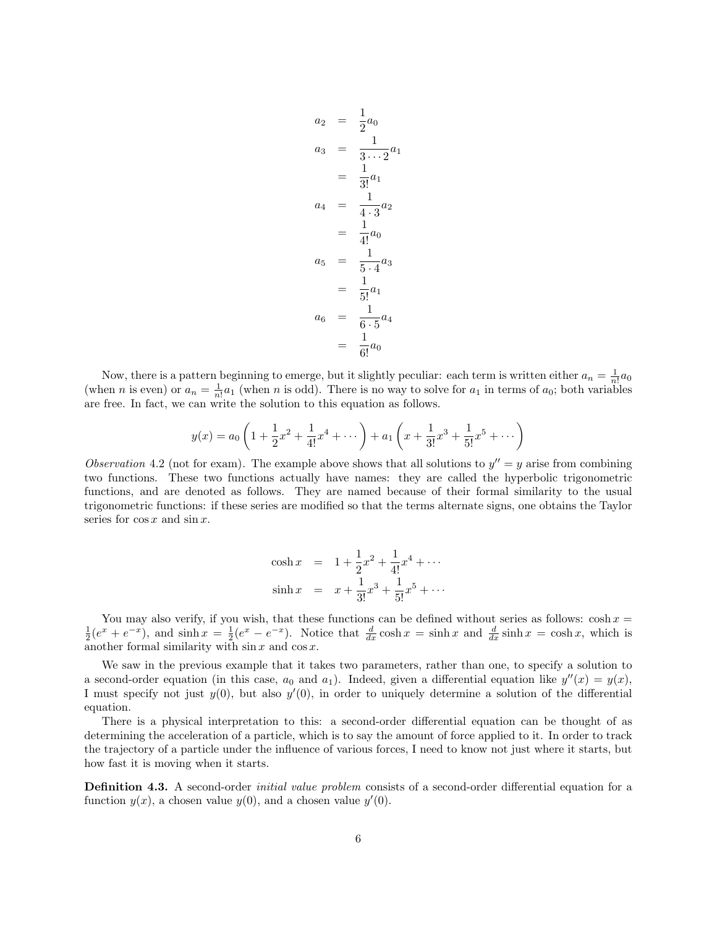$$
a_2 = \frac{1}{2}a_0
$$
  
\n
$$
a_3 = \frac{1}{3\cdots 2}a_1
$$
  
\n
$$
a_4 = \frac{1}{4\cdot 3}a_2
$$
  
\n
$$
a_5 = \frac{1}{4!}a_0
$$
  
\n
$$
a_5 = \frac{1}{5\cdot 4}a_3
$$
  
\n
$$
a_6 = \frac{1}{6\cdot 5}a_4
$$
  
\n
$$
a_6 = \frac{1}{6\cdot 5}a_0
$$

Now, there is a pattern beginning to emerge, but it slightly peculiar: each term is written either  $a_n = \frac{1}{n!} a_0$ (when *n* is even) or  $a_n = \frac{1}{n!} a_1$  (when *n* is odd). There is no way to solve for  $a_1$  in terms of  $a_0$ ; both variables are free. In fact, we can write the solution to this equation as follows.

$$
y(x) = a_0 \left( 1 + \frac{1}{2}x^2 + \frac{1}{4!}x^4 + \dots \right) + a_1 \left( x + \frac{1}{3!}x^3 + \frac{1}{5!}x^5 + \dots \right)
$$

Observation 4.2 (not for exam). The example above shows that all solutions to  $y'' = y$  arise from combining two functions. These two functions actually have names: they are called the hyperbolic trigonometric functions, and are denoted as follows. They are named because of their formal similarity to the usual trigonometric functions: if these series are modified so that the terms alternate signs, one obtains the Taylor series for  $\cos x$  and  $\sin x$ .

$$
\cosh x = 1 + \frac{1}{2}x^2 + \frac{1}{4!}x^4 + \cdots
$$
  
\n
$$
\sinh x = x + \frac{1}{3!}x^3 + \frac{1}{5!}x^5 + \cdots
$$

You may also verify, if you wish, that these functions can be defined without series as follows:  $\cosh x =$  $\frac{1}{2}(e^x + e^{-x})$ , and sinh  $x = \frac{1}{2}(e^x - e^{-x})$ . Notice that  $\frac{d}{dx}\cosh x = \sinh x$  and  $\frac{d}{dx}\sinh x = \cosh x$ , which is another formal similarity with  $\sin x$  and  $\cos x$ .

We saw in the previous example that it takes two parameters, rather than one, to specify a solution to a second-order equation (in this case,  $a_0$  and  $a_1$ ). Indeed, given a differential equation like  $y''(x) = y(x)$ , I must specify not just  $y(0)$ , but also  $y'(0)$ , in order to uniquely determine a solution of the differential equation.

There is a physical interpretation to this: a second-order differential equation can be thought of as determining the acceleration of a particle, which is to say the amount of force applied to it. In order to track the trajectory of a particle under the influence of various forces, I need to know not just where it starts, but how fast it is moving when it starts.

Definition 4.3. A second-order *initial value problem* consists of a second-order differential equation for a function  $y(x)$ , a chosen value  $y(0)$ , and a chosen value  $y'(0)$ .